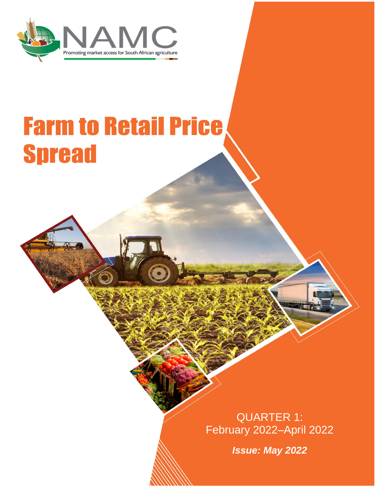

# **Farm to Retail Price Spread**

QUARTER 1: February 2022–April 2022

*Issue: May 2022*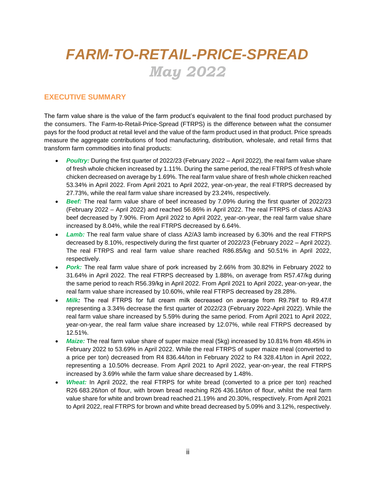# *FARM-TO-RETAIL-PRICE-SPREAD May 2022*

#### **EXECUTIVE SUMMARY**

The farm value share is the value of the farm product's equivalent to the final food product purchased by the consumers. The Farm-to-Retail-Price-Spread (FTRPS) is the difference between what the consumer pays for the food product at retail level and the value of the farm product used in that product. Price spreads measure the aggregate contributions of food manufacturing, distribution, wholesale, and retail firms that transform farm commodities into final products:

- *Poultry:* During the first quarter of 2022/23 (February 2022 April 2022), the real farm value share of fresh whole chicken increased by 1.11%. During the same period, the real FTRPS of fresh whole chicken decreased on average by 1.69%. The real farm value share of fresh whole chicken reached 53.34% in April 2022. From April 2021 to April 2022, year-on-year, the real FTRPS decreased by 27.73%, while the real farm value share increased by 23.24%, respectively.
- *Beef:* The real farm value share of beef increased by 7.09% during the first quarter of 2022/23 (February 2022 – April 2022) and reached 56.86% in April 2022. The real FTRPS of class A2/A3 beef decreased by 7.90%. From April 2022 to April 2022, year-on-year, the real farm value share increased by 8.04%, while the real FTRPS decreased by 6.64%.
- *Lamb:* The real farm value share of class A2/A3 lamb increased by 6.30% and the real FTRPS decreased by 8.10%, respectively during the first quarter of 2022/23 (February 2022 – April 2022). The real FTRPS and real farm value share reached R86.85/kg and 50.51% in April 2022, respectively.
- **Pork:** The real farm value share of pork increased by 2.66% from 30.82% in February 2022 to 31.64% in April 2022. The real FTRPS decreased by 1.88%, on average from R57.47/kg during the same period to reach R56.39/kg in April 2022. From April 2021 to April 2022, year-on-year, the real farm value share increased by 10.60%, while real FTRPS decreased by 28.28%.
- *Milk:* The real FTRPS for full cream milk decreased on average from R9.79/ℓ to R9.47/ℓ representing a 3.34% decrease the first quarter of 2022/23 (February 2022-April 2022). While the real farm value share increased by 5.59% during the same period. From April 2021 to April 2022, year-on-year, the real farm value share increased by 12.07%, while real FTRPS decreased by 12.51%.
- *Maize:* The real farm value share of super maize meal (5kg) increased by 10.81% from 48.45% in February 2022 to 53.69% in April 2022. While the real FTRPS of super maize meal (converted to a price per ton) decreased from R4 836.44/ton in February 2022 to R4 328.41/ton in April 2022, representing a 10.50% decrease. From April 2021 to April 2022, year-on-year, the real FTRPS increased by 3.69% while the farm value share decreased by 1.48%.
- *Wheat:* In April 2022, the real FTRPS for white bread (converted to a price per ton) reached R26 683.26/ton of flour, with brown bread reaching R26 436.16/ton of flour, whilst the real farm value share for white and brown bread reached 21.19% and 20.30%, respectively. From April 2021 to April 2022, real FTRPS for brown and white bread decreased by 5.09% and 3.12%, respectively.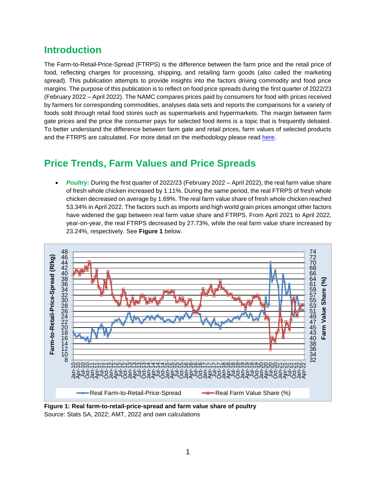## **Introduction**

The Farm-to-Retail-Price-Spread (FTRPS) is the difference between the farm price and the retail price of food, reflecting charges for processing, shipping, and retailing farm goods (also called the [marketing](https://en.wikipedia.org/w/index.php?title=Marketing_spread&action=edit&redlink=1)  [spread\)](https://en.wikipedia.org/w/index.php?title=Marketing_spread&action=edit&redlink=1). This publication attempts to provide insights into the factors driving commodity and food price margins. The purpose of this publication is to reflect on food price spreads during the first quarter of 2022/23 (February 2022 – April 2022). The NAMC compares prices paid by consumers for food with prices received by farmers for corresponding commodities, analyses data sets and reports the comparisons for a variety of foods sold through retail food stores such as supermarkets and hypermarkets. The margin between farm gate prices and the price the consumer pays for selected food items is a topic that is frequently debated. To better understand the difference between farm gate and retail prices, farm values of selected products and the FTRPS are calculated. For more detail on the methodology please read [here.](http://www.namc.co.za/wp-content/uploads/2021/05/Farm-To-Retail-Price-Spread-Definitions-Methodology.pdf)

## **Price Trends, Farm Values and Price Spreads**

 *Poultry:* During the first quarter of 2022/23 (February 2022 – April 2022), the real farm value share of fresh whole chicken increased by 1.11%. During the same period, the real FTRPS of fresh whole chicken decreased on average by 1.69%. The real farm value share of fresh whole chicken reached 53.34% in April 2022. The factors such as imports and high world grain prices amongst other factors have widened the gap between real farm value share and FTRPS. From April 2021 to April 2022, year-on-year, the real FTRPS decreased by 27.73%, while the real farm value share increased by 23.24%, respectively. See **Figure 1** below.



**Figure 1: Real farm-to-retail-price-spread and farm value share of poultry** Source: Stats SA, 2022; AMT, 2022 and own calculations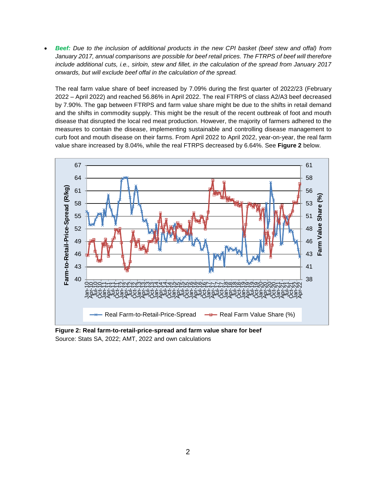*Beef: Due to the inclusion of additional products in the new CPI basket (beef stew and offal) from January 2017, annual comparisons are possible for beef retail prices. The FTRPS of beef will therefore include additional cuts, i.e., sirloin, stew and fillet, in the calculation of the spread from January 2017 onwards, but will exclude beef offal in the calculation of the spread.*

The real farm value share of beef increased by 7.09% during the first quarter of 2022/23 (February 2022 – April 2022) and reached 56.86% in April 2022. The real FTRPS of class A2/A3 beef decreased by 7.90%. The gap between FTRPS and farm value share might be due to the shifts in retail demand and the shifts in commodity supply. This might be the result of the recent outbreak of foot and mouth disease that disrupted the local red meat production. However, the majority of farmers adhered to the measures to contain the disease, implementing sustainable and controlling disease management to curb foot and mouth disease on their farms. From April 2022 to April 2022, year-on-year, the real farm value share increased by 8.04%, while the real FTRPS decreased by 6.64%. See **Figure 2** below.



**Figure 2: Real farm-to-retail-price-spread and farm value share for beef** Source: Stats SA, 2022; AMT, 2022 and own calculations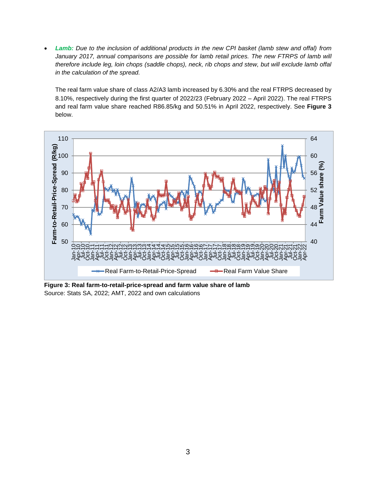*Lamb: Due to the inclusion of additional products in the new CPI basket (lamb stew and offal) from January 2017, annual comparisons are possible for lamb retail prices. The new FTRPS of lamb will therefore include leg, loin chops (saddle chops), neck, rib chops and stew, but will exclude lamb offal in the calculation of the spread.* 

The real farm value share of class A2/A3 lamb increased by 6.30% and the real FTRPS decreased by 8.10%, respectively during the first quarter of 2022/23 (February 2022 – April 2022). The real FTRPS and real farm value share reached R86.85/kg and 50.51% in April 2022, respectively. See **Figure 3** below.



**Figure 3: Real farm-to-retail-price-spread and farm value share of lamb** Source: Stats SA, 2022; AMT, 2022 and own calculations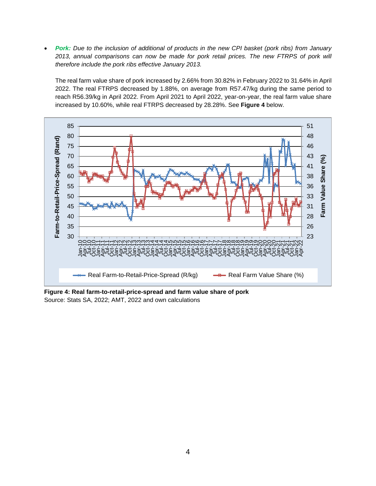*Pork: Due to the inclusion of additional of products in the new CPI basket (pork ribs) from January 2013, annual comparisons can now be made for pork retail prices. The new FTRPS of pork will therefore include the pork ribs effective January 2013.* 

The real farm value share of pork increased by 2.66% from 30.82% in February 2022 to 31.64% in April 2022. The real FTRPS decreased by 1.88%, on average from R57.47/kg during the same period to reach R56.39/kg in April 2022. From April 2021 to April 2022, year-on-year, the real farm value share increased by 10.60%, while real FTRPS decreased by 28.28%. See **Figure 4** below.



**Figure 4: Real farm-to-retail-price-spread and farm value share of pork** Source: Stats SA, 2022; AMT, 2022 and own calculations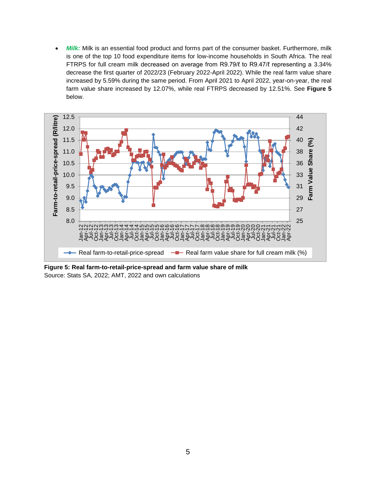*Milk:* Milk is an essential food product and forms part of the consumer basket. Furthermore, milk is one of the top 10 food expenditure items for low-income households in South Africa. The real FTRPS for full cream milk decreased on average from R9.79/ℓ to R9.47/ℓ representing a 3.34% decrease the first quarter of 2022/23 (February 2022-April 2022). While the real farm value share increased by 5.59% during the same period. From April 2021 to April 2022, year-on-year, the real farm value share increased by 12.07%, while real FTRPS decreased by 12.51%. See **Figure 5** below.



**Figure 5: Real farm-to-retail-price-spread and farm value share of milk** Source: Stats SA, 2022; AMT, 2022 and own calculations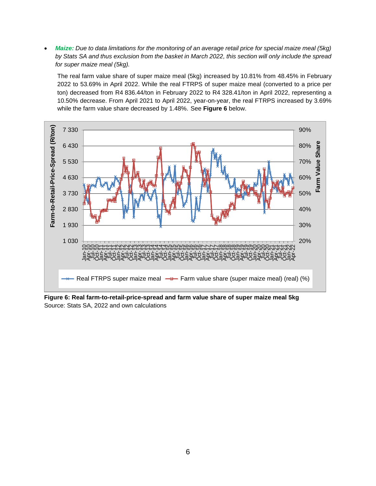*Maize: Due to data limitations for the monitoring of an average retail price for special maize meal (5kg) by Stats SA and thus exclusion from the basket in March 2022, this section will only include the spread for super maize meal (5kg).* 

The real farm value share of super maize meal (5kg) increased by 10.81% from 48.45% in February 2022 to 53.69% in April 2022. While the real FTRPS of super maize meal (converted to a price per ton) decreased from R4 836.44/ton in February 2022 to R4 328.41/ton in April 2022, representing a 10.50% decrease. From April 2021 to April 2022, year-on-year, the real FTRPS increased by 3.69% while the farm value share decreased by 1.48%. See **Figure 6** below.



**Figure 6: Real farm-to-retail-price-spread and farm value share of super maize meal 5kg** Source: Stats SA, 2022 and own calculations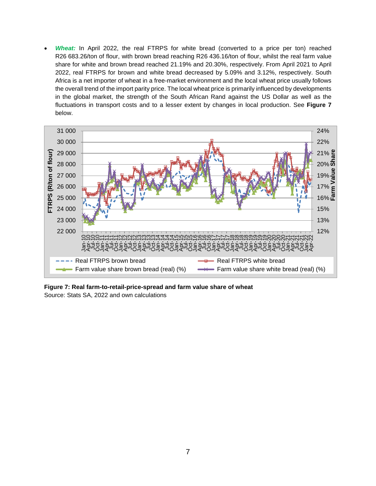*Wheat:* In April 2022, the real FTRPS for white bread (converted to a price per ton) reached R26 683.26/ton of flour, with brown bread reaching R26 436.16/ton of flour, whilst the real farm value share for white and brown bread reached 21.19% and 20.30%, respectively. From April 2021 to April 2022, real FTRPS for brown and white bread decreased by 5.09% and 3.12%, respectively. South Africa is a net importer of wheat in a free-market environment and the local wheat price usually follows the overall trend of the import parity price. The local wheat price is primarily influenced by developments in the global market, the strength of the South African Rand against the US Dollar as well as the fluctuations in transport costs and to a lesser extent by changes in local production. See **Figure 7** below.



**Figure 7: Real farm-to-retail-price-spread and farm value share of wheat** Source: Stats SA, 2022 and own calculations